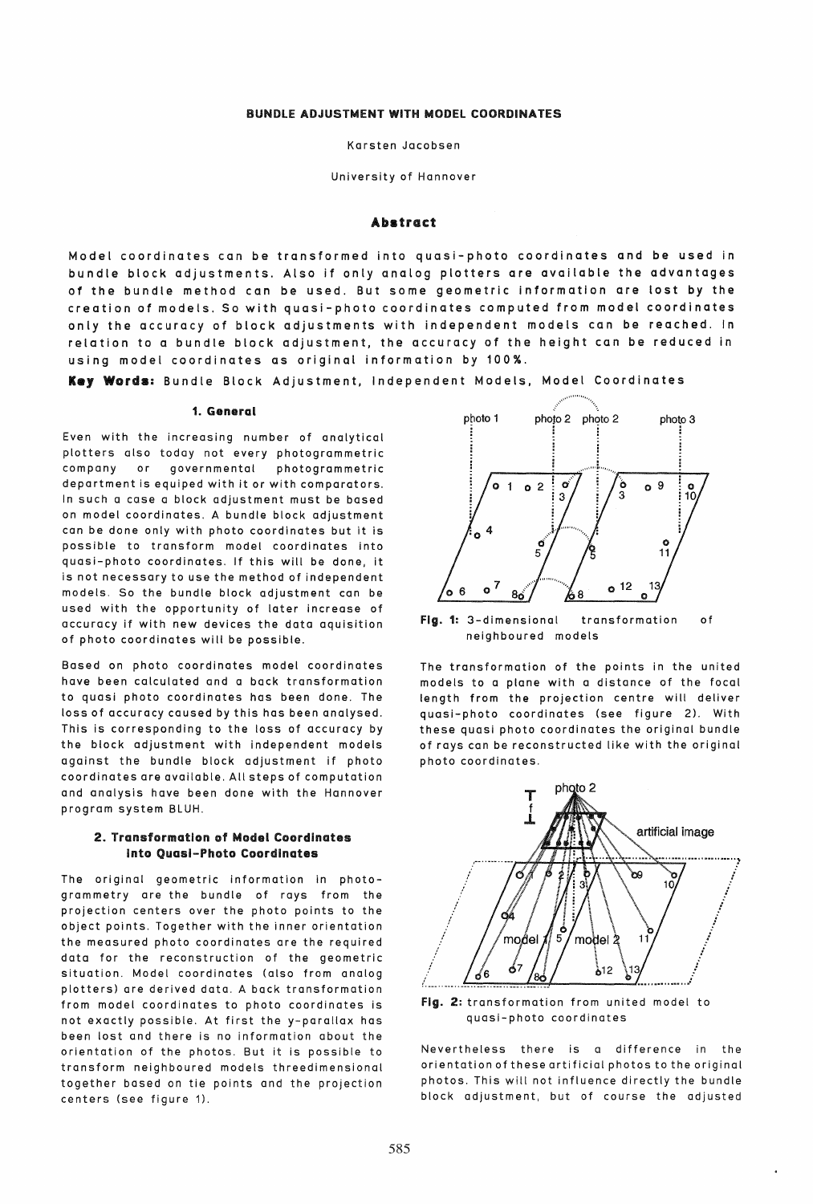Karsten Jacobsen

University of Hannover

### Abstract

Model coordinates can be transformed into qUasi-photo coordinates and be used in bundle block adjustments. Also if only analog plotters are available the advantages of the bundle method Can be used. But some geometric information are lost by the creation of models. So with quasi-photo coordinates computed from model coordinates only the accuracy of block adjustments with independent models Can be reached. In relation to a bundle block adjustment, the accuracy of the height Can be reduced in using model coordinates as original information by 100%.

Key Words: Bundle Block Adjustment, Independent Models, Model Coordinates

## 1. General

Even with the increasing number of analytical plotters also today not every photogrammetric company or governmental photogrammetric department is equiped with it or with comparators. In such a case a block adjustment must be based on model coordinates. A bundle block adjustment can be done only with photo coordinates but it is possible to transform model coordinates into quasi-photo coordinates. If this will be done, it is not necessary to use the method of independent models. So the bundle block adjustment can be used with the opportunity of later increase of accuracy if with new devices the data aquisition of photo coordinates will be possible.

Based on photo coordinates model coordinates have been calculated and a back transformation to quasi photo coordinates has been done. The loss of accuracy caused by this has been analysed. This is corresponding to the loss of accuracy by the block adjustment with independent models against the bundle block adjustment if photo coordinates are available. All steps of computation and analysis have been done with the Hannover program system BLUH.

## 2. Transformation of Model Coordinates Into Quasi-Photo Coordinates

The original geometric information in photogrammetry are the bundle of rays from the projection centers over the photo points to the object points. Together with the inner orientation the measured photo coordinates are the required data for the reconstruction of the geometric situation. Model coordinates (also from analog plotters) are derived data. A back transformation from model coordinates to photo coordinates is not exactly possible. At first the y-parallax has been lost and there is no information about the orientation of the photos. But it is possible to transform neighboured models threedimensional together based on tie points and the projection centers (see figure 1).



Fig. 1: 3-dimensional transformation of neighboured models

The transformation of the points in the united models to a plane with a distance of the focal length from the projection centre will deliver quasi-photo coordinates (see figure 2), With these quasi photo coordinates the original bundle of rays can be reconstructed like with the original photo coordinates.



Fig. 2: transformation from united model to quasi-photo coordinates

Nevertheless there is a difference in the orientation of these artificial photos to the original photos. This will not influence directly the bundle block adjustment, but of course the adjusted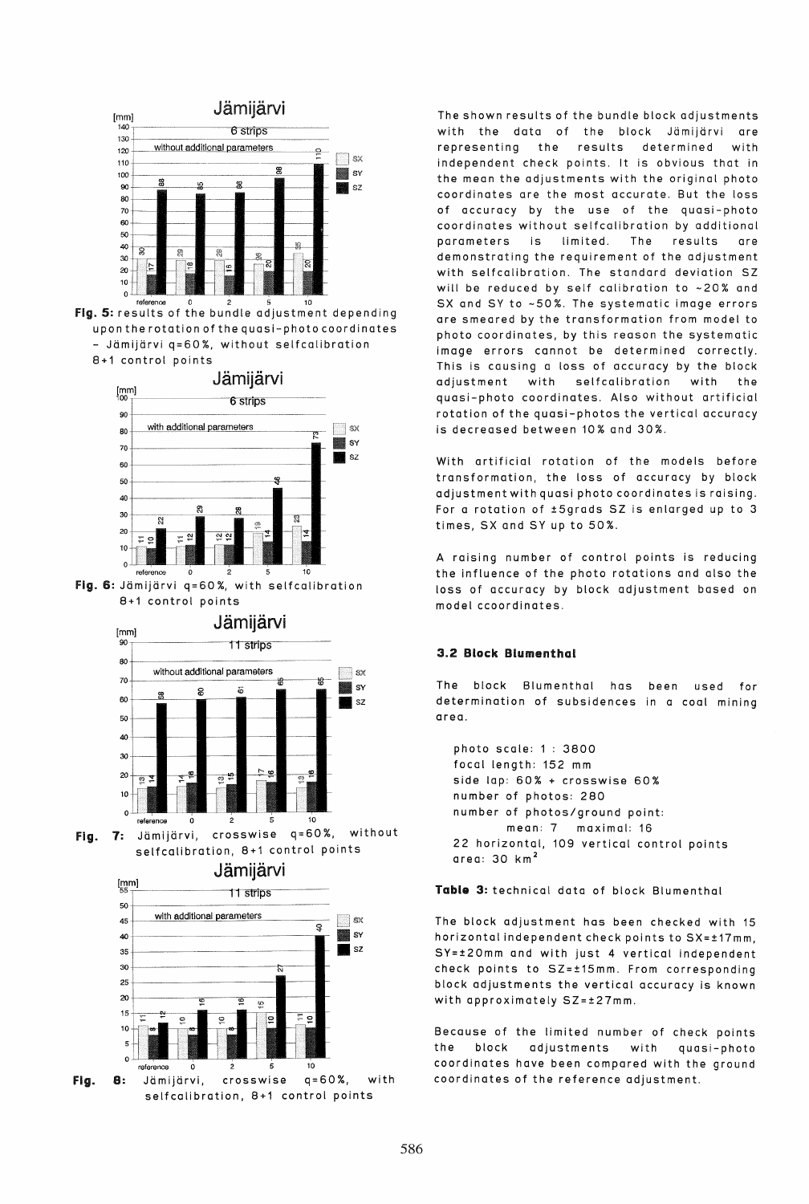

reference 0 2 5 10<br>**Fig. 5:** results of the bundle adjustment depending upon the rotation of the quasi-photo coordinates - Jdmijdrvi q=60%, without selfcalibration 8+1 control points



fig. 6: Jdmijdrvi q=60%, with selfcalibration 8+1 control points



fig. 1: Jdmijarvi, crosswise q=60%, without selfcalibration, 8+1 control points

Jamijarvi



fig. S: Jdmijdrvi, crosswise q=60%, with selfcalibration, 8+1 control points

The shown results of the bundle block adjustments with the data of the block Jämijärvi are representing the results determined with independent check points. It is obvious that in the mean the adjustments with the original photo coordinates are the most accurate. But the loss of accuracy by the use of the quasi-photo coordinates without selfcalibration by additional parameters is limited. The results are demonstrating the requirement of the adjustment with selfcalibration. The standard deviation 5Z will be reduced by self calibration to ~20% and 5X and 5Y to -50%. The systematic image errors are smeared by the transformation from model to photo coordinates, by this reason the systematic image errors cannot be determined correctly. This is causing a loss of accuracy by the block adjustment with selfcalibration with the quasi-photo coordinates. Also without artificial rotation of the quasi-photos the vertical accuracy is decreased between 10% and 30%.

With artificial rotation of the models before transformation, the loss of accuracy by block adjustment with quasi photo coordinates is raising. For a rotation of ±5grads 5Z is enlarged up to 3 times, SX and SY up to 50%.

A raising number of control points is reducing the influence of the photo rotations and also the loss of accuracy by block adjustment based on model ccoordinates.

## 3.2 Block Blumenthal

The block Blumenthal has been used for determination of subsidences in a coal mining area.

photo scale: 1 : 3800 focal length: 152 mm side lap: 60% + crosswise 60% number of photos: 280 number of photos/ground point: mean: 7 maximal: 16 22 horizontal, 109 vertical control points area: 30 km <sup>2</sup>

Table 3: technical data of block Blumenthal

The block adjustment has been checked with 15 horizontal independent check points to 5X=±17mm, SY=±20mm and with just 4 vertical independent check points to SZ=±15mm. From corresponding block adjustments the vertical accuracy is known with approximately SZ=±27mm.

Because of the limited number of check points the block adjustments with quasi-photo coordinates have been compared with the ground coordinates of the reference adjustment.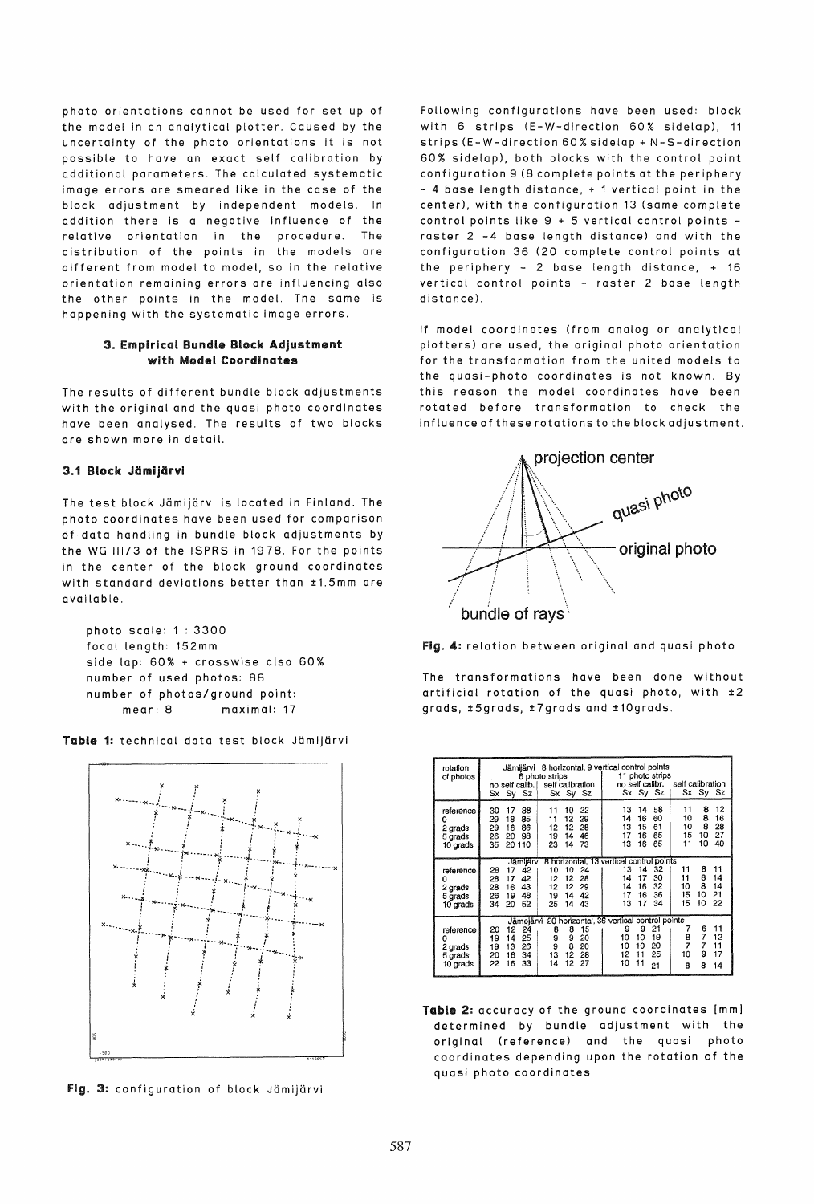photo orientations cannot be used for set up of the model in an analytical plotter. Caused by the uncertainty of the photo orientations it is not possible to have an exact self calibration by additional parameters. The calculated systematic image errors are smeared like in the case of the block adjustment by independent models. In addition there is a negative influence of the relative orientation in the procedure. The distribution of the points in the models are different from model to model, so in the relative orientation remaining errors are influencing also the other points in the model. The same is happening with the systematic image errors.

## 3. Empirical Bundle Block Adjustment with Model Coordinates

The results of different bundle block adjustments with the original and the quasi photo coordinates have been analysed. The results of two blocks are shown more in detail.

# 3.1 Block Jämijärvi

The test block Jämijärvi is located in Finland. The photo coordinates have been used for comparison of data handling in bundle block adjustments by the WG 111/3 of the ISPRS in 1978. For the points in the center of the block ground coordinates with standard deviations better than ±1.5mm are available.

```
photo scale: 1 : 3300 
focal length: 152mm 
side lap: 60% + crosswise also 60% 
number of used photos: 88 
number of photos/ground point: 
     mean: 8 maximal: 17
```


Table 1: technical data test block Jämijärvi

Fig. 3: configuration of block Jämijärvi

Following configurations have been used: block with 6 strips (E-W-direction 60% sidelap), 11 strips (E-W-direction 60% sidelap + N-S-direction 60% sidelap), both blocks with the control point configuration 9 (8 complete points at the periphery - 4 base length distance, + 1 vertical point in the center), with the configuration 13 (same complete control points like  $9 + 5$  vertical control points raster 2 -4 base length distance) and with the configuration 36 (20 complete control points at the periphery - 2 base length distance, + 16 vertical control points - raster 2 base length distance).

If model coordinates (from analog or analytical plotters) are used, the original photo orientation for the transformation from the united models to the quasi-photo coordinates is not known. By this reason the model coordinates have been rotated before transformation to check the influence of these rotations to the block adjustment.



Fig. 4: relation between original and quasi photo

The transformations have been done without artificial rotation of the quasi photo, with ±2 grads, ±5grads, ±7grads and ±10grads.

| rotation<br>of photos                            | Jämijärvi 8 horizontal, 9 vertical control points<br>6 photo strips<br>self calibration<br>no self calib.<br>Sx Sy Sz<br>Sx<br>$Sy$ $Sz$                                                                                               | 11 photo strips<br>no self calibr.<br>Sx Sy Sz                                                                                    | self calibration<br>Sx Sy Sz                                                               |
|--------------------------------------------------|----------------------------------------------------------------------------------------------------------------------------------------------------------------------------------------------------------------------------------------|-----------------------------------------------------------------------------------------------------------------------------------|--------------------------------------------------------------------------------------------|
| reference<br>2 grads<br>5 grads<br>10 grads      | 10<br>22<br>17<br>88<br>30<br>11<br>12<br>29<br>29<br>85<br>18<br>11<br>12<br>28<br>29<br>86<br>16<br>12<br>46<br>98<br>19<br>14<br>26<br>20<br>35<br>23<br>14<br>20 110<br>73                                                         | 58<br>13<br>14<br>60<br>16<br>14<br>15<br>61<br>13<br>65<br>16<br>17<br>65<br>13<br>16                                            | 12<br>8<br>11<br>8<br>10<br>16<br>8<br>10<br>28<br>27<br>15<br>10<br>10<br>40<br>11        |
| reference<br>Ω<br>2 grads<br>5 grads<br>10 grads | Jämijärvi 8 horizontal, 13 vertical control points<br>10<br>24<br>42<br>28<br>17<br>10<br>42<br>12<br>17<br>12<br>28<br>28<br>43<br>12<br>12<br>29<br>28<br>16<br>48<br>19<br>14<br>42<br>26<br>19<br>34<br>52<br>25<br>20<br>14<br>43 | 13<br>32<br>14<br>17<br>30<br>14<br>32<br>16<br>14<br>36<br>17<br>16<br>13<br>17<br>34                                            | 11<br>8<br>11<br>8<br>11<br>14<br>8<br>14<br>10<br>15<br>21<br>10<br>15<br>10<br>22        |
| reference<br>Ω<br>2 grads<br>5 grads<br>10 grads | Jämojärvi<br>8<br>15<br>20<br>12<br>24<br>8<br>9<br>25<br>9<br>14<br>19<br>20<br>8<br>26<br>9<br>20<br>13<br>19<br>13<br>12<br>34<br>28<br>20<br>16<br>12<br>22<br>16<br>33<br>14<br>27                                                | 20 horizontal, 36 vertical control points<br>21<br>9<br>9<br>10<br>19<br>10<br>20<br>10<br>10<br>12<br>25<br>11<br>10<br>11<br>21 | 11<br>7<br>6<br>7<br>8<br>12<br>$\overline{7}$<br>7<br>11<br>9<br>10<br>17<br>8<br>8<br>14 |

Table 2: accuracy of the ground coordinates [mml determined by bundle adjustment with the original (reference) and the quasi photo coordinates depending upon the rotation of the quasi photo coordinates